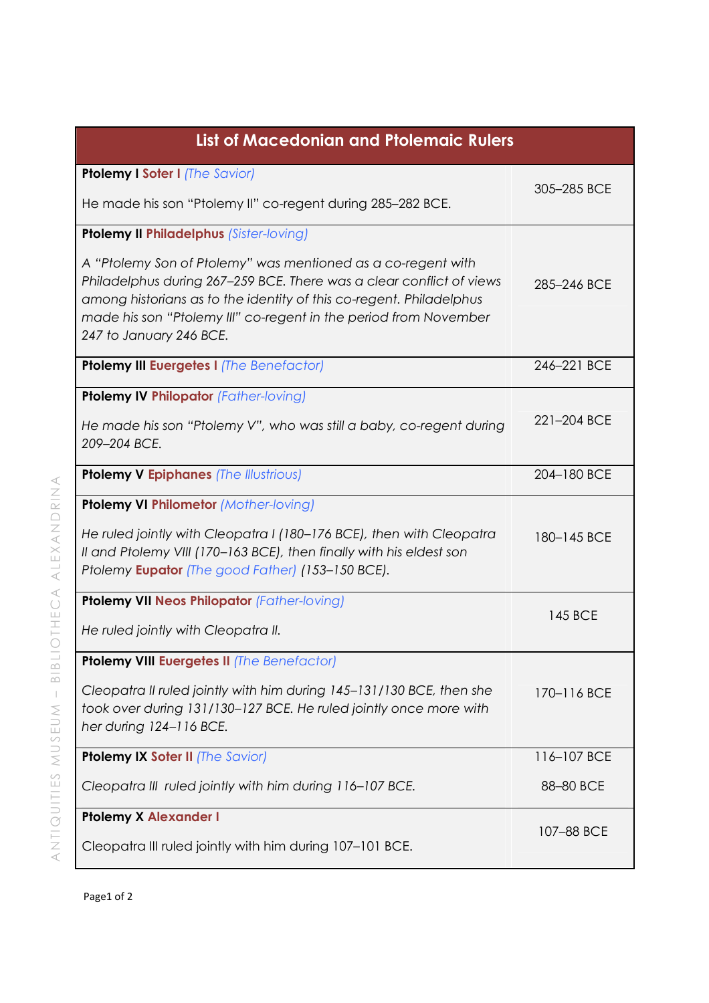| <b>List of Macedonian and Ptolemaic Rulers</b>                                                                                                                                                                                                                                                             |             |  |
|------------------------------------------------------------------------------------------------------------------------------------------------------------------------------------------------------------------------------------------------------------------------------------------------------------|-------------|--|
| <b>Ptolemy I Soter I (The Savior)</b>                                                                                                                                                                                                                                                                      | 305-285 BCE |  |
| He made his son "Ptolemy II" co-regent during 285-282 BCE.                                                                                                                                                                                                                                                 |             |  |
| <b>Ptolemy II Philadelphus (Sister-loving)</b>                                                                                                                                                                                                                                                             |             |  |
| A "Ptolemy Son of Ptolemy" was mentioned as a co-regent with<br>Philadelphus during 267-259 BCE. There was a clear conflict of views<br>among historians as to the identity of this co-regent. Philadelphus<br>made his son "Ptolemy III" co-regent in the period from November<br>247 to January 246 BCE. | 285-246 BCE |  |
| Ptolemy III Euergetes I (The Benefactor)                                                                                                                                                                                                                                                                   | 246-221 BCE |  |
| <b>Ptolemy IV Philopator (Father-loving)</b>                                                                                                                                                                                                                                                               |             |  |
| He made his son "Ptolemy V", who was still a baby, co-regent during<br>209-204 BCE.                                                                                                                                                                                                                        | 221-204 BCE |  |
| <b>Ptolemy V Epiphanes (The Illustrious)</b>                                                                                                                                                                                                                                                               | 204-180 BCE |  |
| Ptolemy VI Philometor (Mother-loving)                                                                                                                                                                                                                                                                      |             |  |
| He ruled jointly with Cleopatra I (180-176 BCE), then with Cleopatra<br>Il and Ptolemy VIII (170-163 BCE), then finally with his eldest son<br>Ptolemy Eupator (The good Father) (153-150 BCE).                                                                                                            | 180-145 BCE |  |
| <b>Ptolemy VII Neos Philopator (Father-loving)</b>                                                                                                                                                                                                                                                         |             |  |
| He ruled jointly with Cleopatra II.                                                                                                                                                                                                                                                                        | 145 BCE     |  |
| Ptolemy VIII Euergetes II (The Benefactor)                                                                                                                                                                                                                                                                 |             |  |
| Cleopatra II ruled jointly with him during 145-131/130 BCE, then she<br>took over during 131/130-127 BCE. He ruled jointly once more with<br>her during 124-116 BCE.                                                                                                                                       | 170-116 BCE |  |
| Ptolemy IX Soter II (The Savior)                                                                                                                                                                                                                                                                           | 116-107 BCE |  |
| Cleopatra III ruled jointly with him during 116-107 BCE.                                                                                                                                                                                                                                                   | 88-80 BCE   |  |
| <b>Ptolemy X Alexander I</b><br>Cleopatra III ruled jointly with him during 107-101 BCE.                                                                                                                                                                                                                   | 107-88 BCE  |  |
|                                                                                                                                                                                                                                                                                                            |             |  |

 $\,<$